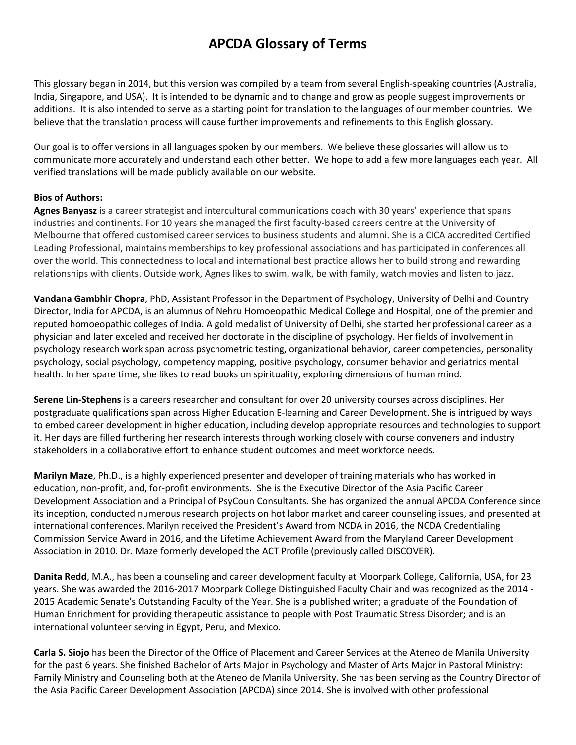## **APCDA Glossary of Terms**

This glossary began in 2014, but this version was compiled by a team from several English-speaking countries (Australia, India, Singapore, and USA). It is intended to be dynamic and to change and grow as people suggest improvements or additions. It is also intended to serve as a starting point for translation to the languages of our member countries. We believe that the translation process will cause further improvements and refinements to this English glossary.

Our goal is to offer versions in all languages spoken by our members. We believe these glossaries will allow us to communicate more accurately and understand each other better. We hope to add a few more languages each year. All verified translations will be made publicly available on our website.

## **Bios of Authors:**

**Agnes Banyasz** is a career strategist and intercultural communications coach with 30 years' experience that spans industries and continents. For 10 years she managed the first faculty-based careers centre at the University of Melbourne that offered customised career services to business students and alumni. She is a CICA accredited Certified Leading Professional, maintains memberships to key professional associations and has participated in conferences all over the world. This connectedness to local and international best practice allows her to build strong and rewarding relationships with clients. Outside work, Agnes likes to swim, walk, be with family, watch movies and listen to jazz.

**Vandana Gambhir Chopra**, PhD, Assistant Professor in the Department of Psychology, University of Delhi and Country Director, India for APCDA, is an alumnus of Nehru Homoeopathic Medical College and Hospital, one of the premier and reputed homoeopathic colleges of India. A gold medalist of University of Delhi, she started her professional career as a physician and later exceled and received her doctorate in the discipline of psychology. Her fields of involvement in psychology research work span across psychometric testing, organizational behavior, career competencies, personality psychology, social psychology, competency mapping, positive psychology, consumer behavior and geriatrics mental health. In her spare time, she likes to read books on spirituality, exploring dimensions of human mind.

**Serene Lin-Stephens** is a careers researcher and consultant for over 20 university courses across disciplines. Her postgraduate qualifications span across Higher Education E-learning and Career Development. She is intrigued by ways to embed career development in higher education, including develop appropriate resources and technologies to support it. Her days are filled furthering her research interests through working closely with course conveners and industry stakeholders in a collaborative effort to enhance student outcomes and meet workforce needs.

**Marilyn Maze**, Ph.D., is a highly experienced presenter and developer of training materials who has worked in education, non-profit, and, for-profit environments. She is the Executive Director of the Asia Pacific Career Development Association and a Principal of PsyCoun Consultants. She has organized the annual APCDA Conference since its inception, conducted numerous research projects on hot labor market and career counseling issues, and presented at international conferences. Marilyn received the President's Award from NCDA in 2016, the NCDA Credentialing Commission Service Award in 2016, and the Lifetime Achievement Award from the Maryland Career Development Association in 2010. Dr. Maze formerly developed the ACT Profile (previously called DISCOVER).

**Danita Redd**, M.A., has been a counseling and career development faculty at Moorpark College, California, USA, for 23 years. She was awarded the 2016-2017 Moorpark College Distinguished Faculty Chair and was recognized as the 2014 - 2015 Academic Senate's Outstanding Faculty of the Year. She is a published writer; a graduate of the Foundation of Human Enrichment for providing therapeutic assistance to people with Post Traumatic Stress Disorder; and is an international volunteer serving in Egypt, Peru, and Mexico.

**Carla S. Siojo** has been the Director of the Office of Placement and Career Services at the Ateneo de Manila University for the past 6 years. She finished Bachelor of Arts Major in Psychology and Master of Arts Major in Pastoral Ministry: Family Ministry and Counseling both at the Ateneo de Manila University. She has been serving as the Country Director of the Asia Pacific Career Development Association (APCDA) since 2014. She is involved with other professional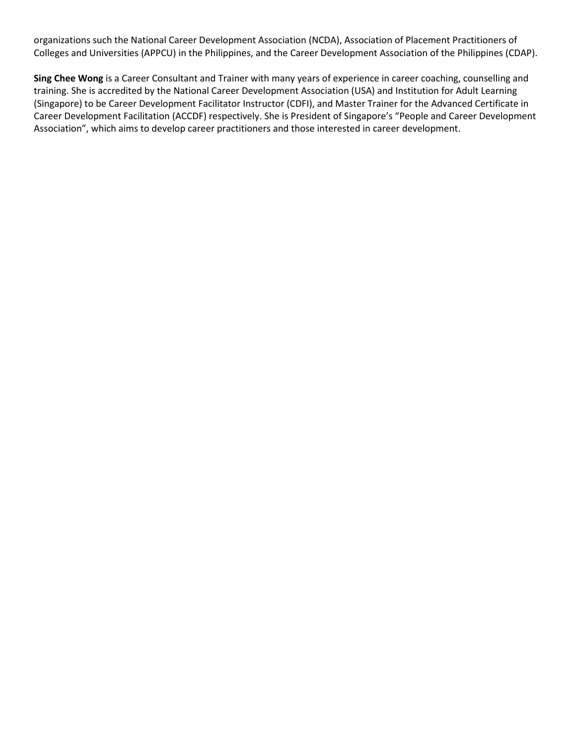organizations such the National Career Development Association (NCDA), Association of Placement Practitioners of Colleges and Universities (APPCU) in the Philippines, and the Career Development Association of the Philippines (CDAP).

**Sing Chee Wong** is a Career Consultant and Trainer with many years of experience in career coaching, counselling and training. She is accredited by the National Career Development Association (USA) and Institution for Adult Learning (Singapore) to be Career Development Facilitator Instructor (CDFI), and Master Trainer for the Advanced Certificate in Career Development Facilitation (ACCDF) respectively. She is President of Singapore's "People and Career Development Association", which aims to develop career practitioners and those interested in career development.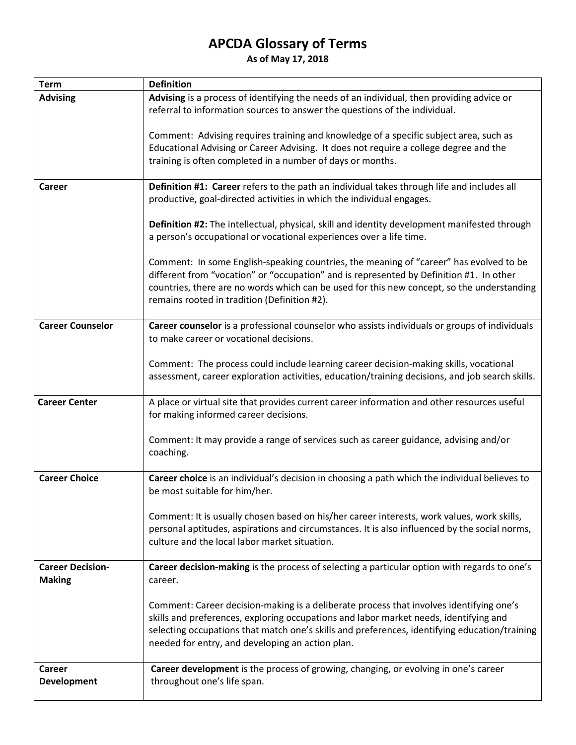## **APCDA Glossary of Terms**

**As of May 17, 2018** 

| <b>Term</b>                              | <b>Definition</b>                                                                                                                                                                                                                                                                                                                     |
|------------------------------------------|---------------------------------------------------------------------------------------------------------------------------------------------------------------------------------------------------------------------------------------------------------------------------------------------------------------------------------------|
| <b>Advising</b>                          | Advising is a process of identifying the needs of an individual, then providing advice or<br>referral to information sources to answer the questions of the individual.                                                                                                                                                               |
|                                          | Comment: Advising requires training and knowledge of a specific subject area, such as<br>Educational Advising or Career Advising. It does not require a college degree and the<br>training is often completed in a number of days or months.                                                                                          |
| Career                                   | Definition #1: Career refers to the path an individual takes through life and includes all<br>productive, goal-directed activities in which the individual engages.                                                                                                                                                                   |
|                                          | Definition #2: The intellectual, physical, skill and identity development manifested through<br>a person's occupational or vocational experiences over a life time.                                                                                                                                                                   |
|                                          | Comment: In some English-speaking countries, the meaning of "career" has evolved to be<br>different from "vocation" or "occupation" and is represented by Definition #1. In other<br>countries, there are no words which can be used for this new concept, so the understanding<br>remains rooted in tradition (Definition #2).       |
| <b>Career Counselor</b>                  | Career counselor is a professional counselor who assists individuals or groups of individuals<br>to make career or vocational decisions.                                                                                                                                                                                              |
|                                          | Comment: The process could include learning career decision-making skills, vocational<br>assessment, career exploration activities, education/training decisions, and job search skills.                                                                                                                                              |
| <b>Career Center</b>                     | A place or virtual site that provides current career information and other resources useful<br>for making informed career decisions.                                                                                                                                                                                                  |
|                                          | Comment: It may provide a range of services such as career guidance, advising and/or<br>coaching.                                                                                                                                                                                                                                     |
| <b>Career Choice</b>                     | Career choice is an individual's decision in choosing a path which the individual believes to<br>be most suitable for him/her.                                                                                                                                                                                                        |
|                                          | Comment: It is usually chosen based on his/her career interests, work values, work skills,<br>personal aptitudes, aspirations and circumstances. It is also influenced by the social norms,<br>culture and the local labor market situation.                                                                                          |
| <b>Career Decision-</b><br><b>Making</b> | Career decision-making is the process of selecting a particular option with regards to one's<br>career.                                                                                                                                                                                                                               |
|                                          | Comment: Career decision-making is a deliberate process that involves identifying one's<br>skills and preferences, exploring occupations and labor market needs, identifying and<br>selecting occupations that match one's skills and preferences, identifying education/training<br>needed for entry, and developing an action plan. |
| Career<br>Development                    | Career development is the process of growing, changing, or evolving in one's career<br>throughout one's life span.                                                                                                                                                                                                                    |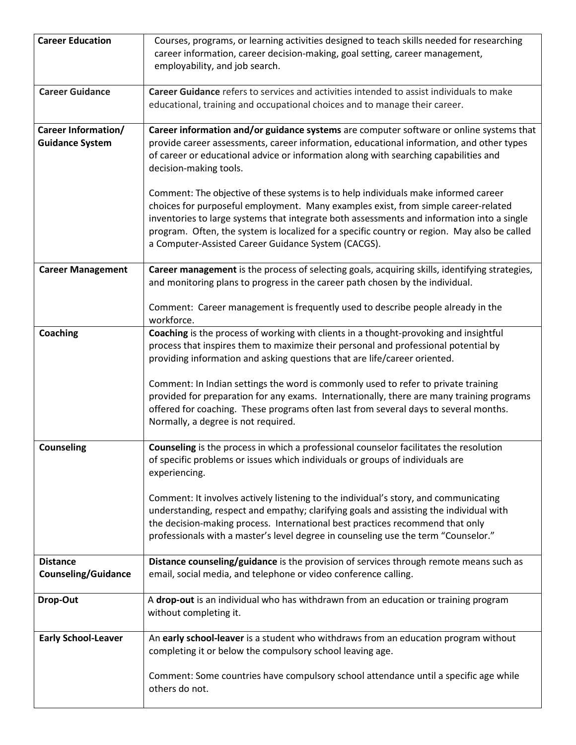| <b>Career Education</b>                              | Courses, programs, or learning activities designed to teach skills needed for researching<br>career information, career decision-making, goal setting, career management,<br>employability, and job search.                                                                                                                                                                                                                    |
|------------------------------------------------------|--------------------------------------------------------------------------------------------------------------------------------------------------------------------------------------------------------------------------------------------------------------------------------------------------------------------------------------------------------------------------------------------------------------------------------|
| <b>Career Guidance</b>                               | Career Guidance refers to services and activities intended to assist individuals to make<br>educational, training and occupational choices and to manage their career.                                                                                                                                                                                                                                                         |
| <b>Career Information/</b><br><b>Guidance System</b> | Career information and/or guidance systems are computer software or online systems that<br>provide career assessments, career information, educational information, and other types<br>of career or educational advice or information along with searching capabilities and<br>decision-making tools.                                                                                                                          |
|                                                      | Comment: The objective of these systems is to help individuals make informed career<br>choices for purposeful employment. Many examples exist, from simple career-related<br>inventories to large systems that integrate both assessments and information into a single<br>program. Often, the system is localized for a specific country or region. May also be called<br>a Computer-Assisted Career Guidance System (CACGS). |
| <b>Career Management</b>                             | Career management is the process of selecting goals, acquiring skills, identifying strategies,<br>and monitoring plans to progress in the career path chosen by the individual.<br>Comment: Career management is frequently used to describe people already in the                                                                                                                                                             |
|                                                      | workforce.                                                                                                                                                                                                                                                                                                                                                                                                                     |
| Coaching                                             | Coaching is the process of working with clients in a thought-provoking and insightful<br>process that inspires them to maximize their personal and professional potential by<br>providing information and asking questions that are life/career oriented.<br>Comment: In Indian settings the word is commonly used to refer to private training                                                                                |
|                                                      | provided for preparation for any exams. Internationally, there are many training programs<br>offered for coaching. These programs often last from several days to several months.<br>Normally, a degree is not required.                                                                                                                                                                                                       |
| <b>Counseling</b>                                    | <b>Counseling</b> is the process in which a professional counselor facilitates the resolution<br>of specific problems or issues which individuals or groups of individuals are<br>experiencing.                                                                                                                                                                                                                                |
|                                                      | Comment: It involves actively listening to the individual's story, and communicating<br>understanding, respect and empathy; clarifying goals and assisting the individual with<br>the decision-making process. International best practices recommend that only<br>professionals with a master's level degree in counseling use the term "Counselor."                                                                          |
| <b>Distance</b>                                      | Distance counseling/guidance is the provision of services through remote means such as                                                                                                                                                                                                                                                                                                                                         |
| <b>Counseling/Guidance</b>                           | email, social media, and telephone or video conference calling.                                                                                                                                                                                                                                                                                                                                                                |
| Drop-Out                                             | A drop-out is an individual who has withdrawn from an education or training program<br>without completing it.                                                                                                                                                                                                                                                                                                                  |
| <b>Early School-Leaver</b>                           | An early school-leaver is a student who withdraws from an education program without<br>completing it or below the compulsory school leaving age.                                                                                                                                                                                                                                                                               |
|                                                      | Comment: Some countries have compulsory school attendance until a specific age while<br>others do not.                                                                                                                                                                                                                                                                                                                         |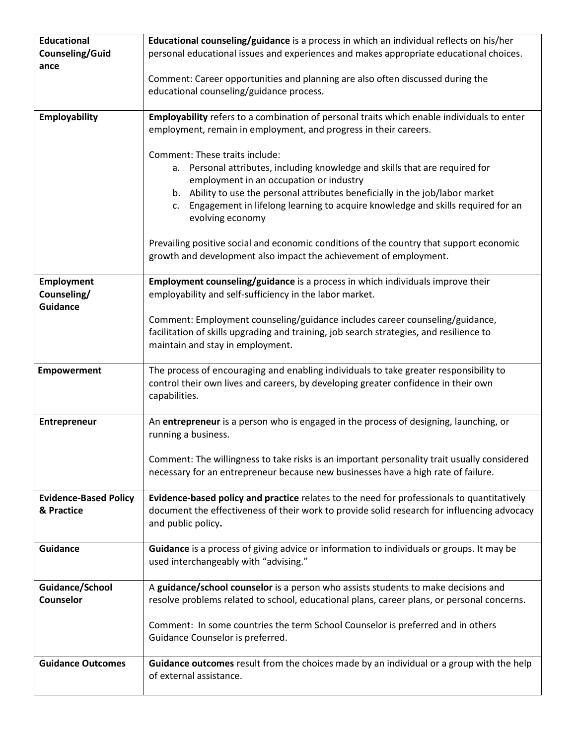| <b>Educational</b><br>Counseling/Guid        | Educational counseling/guidance is a process in which an individual reflects on his/her<br>personal educational issues and experiences and makes appropriate educational choices.                           |
|----------------------------------------------|-------------------------------------------------------------------------------------------------------------------------------------------------------------------------------------------------------------|
| ance                                         | Comment: Career opportunities and planning are also often discussed during the                                                                                                                              |
|                                              | educational counseling/guidance process.                                                                                                                                                                    |
| <b>Employability</b>                         | Employability refers to a combination of personal traits which enable individuals to enter<br>employment, remain in employment, and progress in their careers.                                              |
|                                              | Comment: These traits include:<br>a. Personal attributes, including knowledge and skills that are required for<br>employment in an occupation or industry                                                   |
|                                              | b. Ability to use the personal attributes beneficially in the job/labor market<br>c. Engagement in lifelong learning to acquire knowledge and skills required for an<br>evolving economy                    |
|                                              | Prevailing positive social and economic conditions of the country that support economic<br>growth and development also impact the achievement of employment.                                                |
| Employment<br>Counseling/<br><b>Guidance</b> | Employment counseling/guidance is a process in which individuals improve their<br>employability and self-sufficiency in the labor market.                                                                   |
|                                              | Comment: Employment counseling/guidance includes career counseling/guidance,<br>facilitation of skills upgrading and training, job search strategies, and resilience to<br>maintain and stay in employment. |
| <b>Empowerment</b>                           | The process of encouraging and enabling individuals to take greater responsibility to<br>control their own lives and careers, by developing greater confidence in their own<br>capabilities.                |
| Entrepreneur                                 | An entrepreneur is a person who is engaged in the process of designing, launching, or<br>running a business.                                                                                                |
|                                              | Comment: The willingness to take risks is an important personality trait usually considered<br>necessary for an entrepreneur because new businesses have a high rate of failure.                            |
| <b>Evidence-Based Policy</b>                 | Evidence-based policy and practice relates to the need for professionals to quantitatively                                                                                                                  |
| & Practice                                   | document the effectiveness of their work to provide solid research for influencing advocacy<br>and public policy.                                                                                           |
| <b>Guidance</b>                              | Guidance is a process of giving advice or information to individuals or groups. It may be<br>used interchangeably with "advising."                                                                          |
| Guidance/School<br>Counselor                 | A guidance/school counselor is a person who assists students to make decisions and<br>resolve problems related to school, educational plans, career plans, or personal concerns.                            |
|                                              | Comment: In some countries the term School Counselor is preferred and in others<br>Guidance Counselor is preferred.                                                                                         |
| <b>Guidance Outcomes</b>                     | Guidance outcomes result from the choices made by an individual or a group with the help<br>of external assistance.                                                                                         |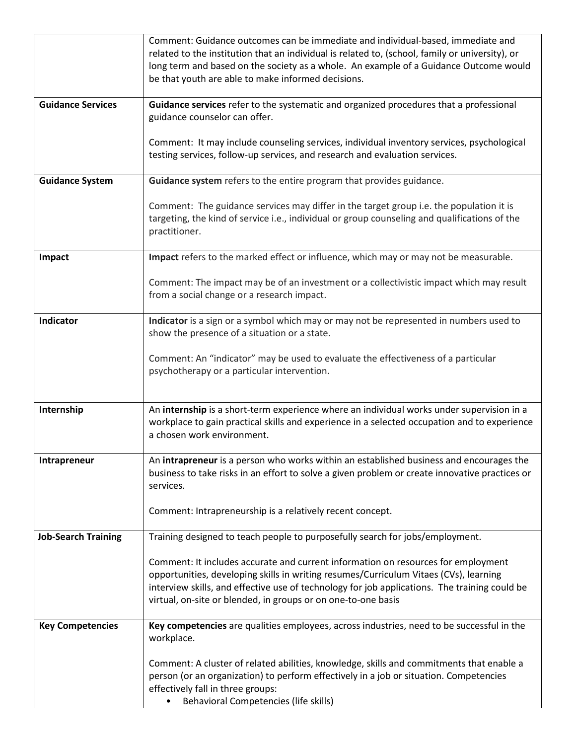|                            | Comment: Guidance outcomes can be immediate and individual-based, immediate and<br>related to the institution that an individual is related to, (school, family or university), or<br>long term and based on the society as a whole. An example of a Guidance Outcome would<br>be that youth are able to make informed decisions.            |
|----------------------------|----------------------------------------------------------------------------------------------------------------------------------------------------------------------------------------------------------------------------------------------------------------------------------------------------------------------------------------------|
| <b>Guidance Services</b>   | Guidance services refer to the systematic and organized procedures that a professional<br>guidance counselor can offer.                                                                                                                                                                                                                      |
|                            | Comment: It may include counseling services, individual inventory services, psychological<br>testing services, follow-up services, and research and evaluation services.                                                                                                                                                                     |
| <b>Guidance System</b>     | Guidance system refers to the entire program that provides guidance.                                                                                                                                                                                                                                                                         |
|                            | Comment: The guidance services may differ in the target group i.e. the population it is<br>targeting, the kind of service i.e., individual or group counseling and qualifications of the<br>practitioner.                                                                                                                                    |
| Impact                     | Impact refers to the marked effect or influence, which may or may not be measurable.                                                                                                                                                                                                                                                         |
|                            | Comment: The impact may be of an investment or a collectivistic impact which may result<br>from a social change or a research impact.                                                                                                                                                                                                        |
| Indicator                  | Indicator is a sign or a symbol which may or may not be represented in numbers used to<br>show the presence of a situation or a state.                                                                                                                                                                                                       |
|                            | Comment: An "indicator" may be used to evaluate the effectiveness of a particular<br>psychotherapy or a particular intervention.                                                                                                                                                                                                             |
| Internship                 | An internship is a short-term experience where an individual works under supervision in a<br>workplace to gain practical skills and experience in a selected occupation and to experience<br>a chosen work environment.                                                                                                                      |
| Intrapreneur               | An intrapreneur is a person who works within an established business and encourages the<br>business to take risks in an effort to solve a given problem or create innovative practices or<br>services.                                                                                                                                       |
|                            | Comment: Intrapreneurship is a relatively recent concept.                                                                                                                                                                                                                                                                                    |
| <b>Job-Search Training</b> | Training designed to teach people to purposefully search for jobs/employment.                                                                                                                                                                                                                                                                |
|                            | Comment: It includes accurate and current information on resources for employment<br>opportunities, developing skills in writing resumes/Curriculum Vitaes (CVs), learning<br>interview skills, and effective use of technology for job applications. The training could be<br>virtual, on-site or blended, in groups or on one-to-one basis |
| <b>Key Competencies</b>    | Key competencies are qualities employees, across industries, need to be successful in the<br>workplace.                                                                                                                                                                                                                                      |
|                            | Comment: A cluster of related abilities, knowledge, skills and commitments that enable a<br>person (or an organization) to perform effectively in a job or situation. Competencies<br>effectively fall in three groups:<br><b>Behavioral Competencies (life skills)</b>                                                                      |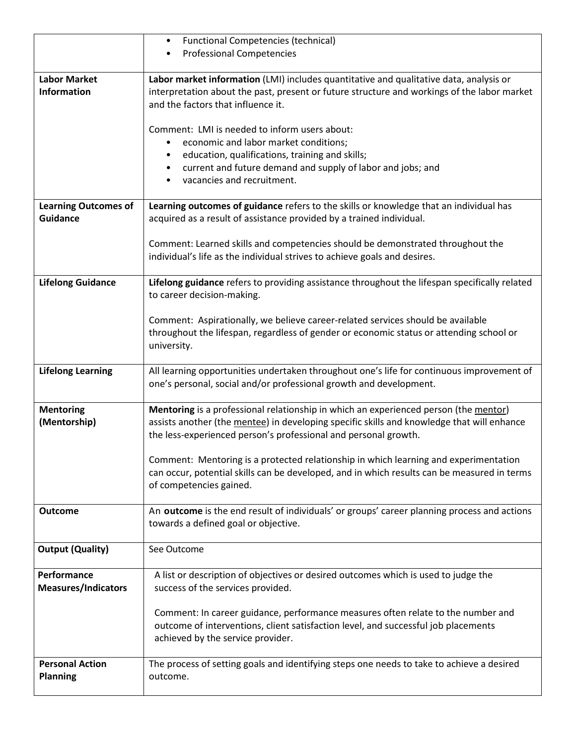|                                           | <b>Functional Competencies (technical)</b>                                                                                                                                                                                  |
|-------------------------------------------|-----------------------------------------------------------------------------------------------------------------------------------------------------------------------------------------------------------------------------|
|                                           | <b>Professional Competencies</b>                                                                                                                                                                                            |
|                                           |                                                                                                                                                                                                                             |
| <b>Labor Market</b><br><b>Information</b> | Labor market information (LMI) includes quantitative and qualitative data, analysis or<br>interpretation about the past, present or future structure and workings of the labor market<br>and the factors that influence it. |
|                                           | Comment: LMI is needed to inform users about:                                                                                                                                                                               |
|                                           | economic and labor market conditions;                                                                                                                                                                                       |
|                                           | education, qualifications, training and skills;                                                                                                                                                                             |
|                                           | current and future demand and supply of labor and jobs; and                                                                                                                                                                 |
|                                           | vacancies and recruitment.                                                                                                                                                                                                  |
|                                           |                                                                                                                                                                                                                             |
| <b>Learning Outcomes of</b>               | Learning outcomes of guidance refers to the skills or knowledge that an individual has                                                                                                                                      |
| <b>Guidance</b>                           | acquired as a result of assistance provided by a trained individual.                                                                                                                                                        |
|                                           |                                                                                                                                                                                                                             |
|                                           | Comment: Learned skills and competencies should be demonstrated throughout the                                                                                                                                              |
|                                           | individual's life as the individual strives to achieve goals and desires.                                                                                                                                                   |
|                                           |                                                                                                                                                                                                                             |
| <b>Lifelong Guidance</b>                  | Lifelong guidance refers to providing assistance throughout the lifespan specifically related<br>to career decision-making.                                                                                                 |
|                                           | Comment: Aspirationally, we believe career-related services should be available                                                                                                                                             |
|                                           | throughout the lifespan, regardless of gender or economic status or attending school or                                                                                                                                     |
|                                           | university.                                                                                                                                                                                                                 |
|                                           |                                                                                                                                                                                                                             |
| <b>Lifelong Learning</b>                  | All learning opportunities undertaken throughout one's life for continuous improvement of<br>one's personal, social and/or professional growth and development.                                                             |
|                                           |                                                                                                                                                                                                                             |
| <b>Mentoring</b>                          | Mentoring is a professional relationship in which an experienced person (the mentor)                                                                                                                                        |
| (Mentorship)                              | assists another (the mentee) in developing specific skills and knowledge that will enhance                                                                                                                                  |
|                                           | the less-experienced person's professional and personal growth.                                                                                                                                                             |
|                                           | Comment: Mentoring is a protected relationship in which learning and experimentation                                                                                                                                        |
|                                           | can occur, potential skills can be developed, and in which results can be measured in terms                                                                                                                                 |
|                                           | of competencies gained.                                                                                                                                                                                                     |
|                                           |                                                                                                                                                                                                                             |
| <b>Outcome</b>                            | An outcome is the end result of individuals' or groups' career planning process and actions                                                                                                                                 |
|                                           | towards a defined goal or objective.                                                                                                                                                                                        |
|                                           |                                                                                                                                                                                                                             |
| <b>Output (Quality)</b>                   | See Outcome                                                                                                                                                                                                                 |
|                                           |                                                                                                                                                                                                                             |
| Performance                               | A list or description of objectives or desired outcomes which is used to judge the                                                                                                                                          |
| <b>Measures/Indicators</b>                | success of the services provided.                                                                                                                                                                                           |
|                                           |                                                                                                                                                                                                                             |
|                                           | Comment: In career guidance, performance measures often relate to the number and                                                                                                                                            |
|                                           | outcome of interventions, client satisfaction level, and successful job placements                                                                                                                                          |
|                                           | achieved by the service provider.                                                                                                                                                                                           |
|                                           |                                                                                                                                                                                                                             |
|                                           |                                                                                                                                                                                                                             |
| <b>Personal Action</b>                    | The process of setting goals and identifying steps one needs to take to achieve a desired                                                                                                                                   |
| <b>Planning</b>                           | outcome.                                                                                                                                                                                                                    |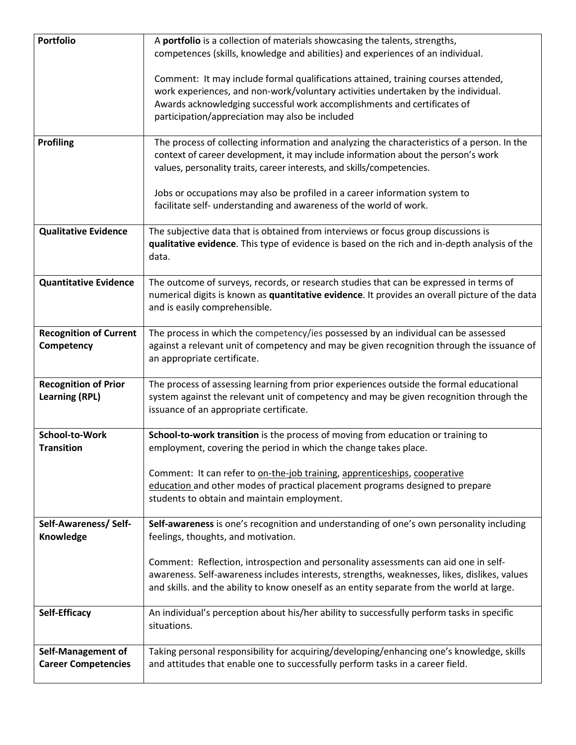| <b>Portfolio</b>                                     | A portfolio is a collection of materials showcasing the talents, strengths,<br>competences (skills, knowledge and abilities) and experiences of an individual.                                                                                                                                         |
|------------------------------------------------------|--------------------------------------------------------------------------------------------------------------------------------------------------------------------------------------------------------------------------------------------------------------------------------------------------------|
|                                                      | Comment: It may include formal qualifications attained, training courses attended,<br>work experiences, and non-work/voluntary activities undertaken by the individual.<br>Awards acknowledging successful work accomplishments and certificates of<br>participation/appreciation may also be included |
| <b>Profiling</b>                                     | The process of collecting information and analyzing the characteristics of a person. In the<br>context of career development, it may include information about the person's work<br>values, personality traits, career interests, and skills/competencies.                                             |
|                                                      | Jobs or occupations may also be profiled in a career information system to<br>facilitate self- understanding and awareness of the world of work.                                                                                                                                                       |
| <b>Qualitative Evidence</b>                          | The subjective data that is obtained from interviews or focus group discussions is<br>qualitative evidence. This type of evidence is based on the rich and in-depth analysis of the<br>data.                                                                                                           |
| <b>Quantitative Evidence</b>                         | The outcome of surveys, records, or research studies that can be expressed in terms of<br>numerical digits is known as quantitative evidence. It provides an overall picture of the data<br>and is easily comprehensible.                                                                              |
| <b>Recognition of Current</b><br>Competency          | The process in which the competency/ies possessed by an individual can be assessed<br>against a relevant unit of competency and may be given recognition through the issuance of<br>an appropriate certificate.                                                                                        |
| <b>Recognition of Prior</b><br><b>Learning (RPL)</b> | The process of assessing learning from prior experiences outside the formal educational<br>system against the relevant unit of competency and may be given recognition through the<br>issuance of an appropriate certificate.                                                                          |
| School-to-Work<br><b>Transition</b>                  | School-to-work transition is the process of moving from education or training to<br>employment, covering the period in which the change takes place.                                                                                                                                                   |
|                                                      | Comment: It can refer to on-the-job training, apprenticeships, cooperative<br>education and other modes of practical placement programs designed to prepare<br>students to obtain and maintain employment.                                                                                             |
| Self-Awareness/ Self-<br>Knowledge                   | Self-awareness is one's recognition and understanding of one's own personality including<br>feelings, thoughts, and motivation.                                                                                                                                                                        |
|                                                      | Comment: Reflection, introspection and personality assessments can aid one in self-<br>awareness. Self-awareness includes interests, strengths, weaknesses, likes, dislikes, values<br>and skills. and the ability to know oneself as an entity separate from the world at large.                      |
| Self-Efficacy                                        | An individual's perception about his/her ability to successfully perform tasks in specific<br>situations.                                                                                                                                                                                              |
| Self-Management of<br><b>Career Competencies</b>     | Taking personal responsibility for acquiring/developing/enhancing one's knowledge, skills<br>and attitudes that enable one to successfully perform tasks in a career field.                                                                                                                            |